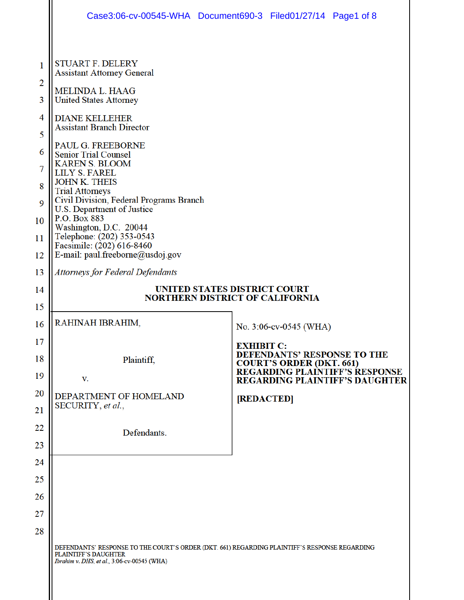|             | Case3:06-cv-00545-WHA Document690-3 Filed01/27/14 Page1 of 8                                                                                                                |                   |                                    |                                                                                                             |
|-------------|-----------------------------------------------------------------------------------------------------------------------------------------------------------------------------|-------------------|------------------------------------|-------------------------------------------------------------------------------------------------------------|
|             |                                                                                                                                                                             |                   |                                    |                                                                                                             |
| 1<br>2<br>3 | <b>STUART F. DELERY</b><br><b>Assistant Attorney General</b><br>MELINDA L. HAAG<br><b>United States Attorney</b>                                                            |                   |                                    |                                                                                                             |
| 4           | <b>DIANE KELLEHER</b>                                                                                                                                                       |                   |                                    |                                                                                                             |
| 5           | <b>Assistant Branch Director</b>                                                                                                                                            |                   |                                    |                                                                                                             |
| 6           | PAUL G. FREEBORNE                                                                                                                                                           |                   |                                    |                                                                                                             |
| 7           | <b>Senior Trial Counsel</b><br><b>KAREN S. BLOOM</b><br><b>LILY S. FAREL</b><br><b>JOHN K. THEIS</b><br><b>Trial Attorneys</b>                                              |                   |                                    |                                                                                                             |
| 8           |                                                                                                                                                                             |                   |                                    |                                                                                                             |
| 9           | Civil Division, Federal Programs Branch<br>U.S. Department of Justice<br>P.O. Box 883                                                                                       |                   |                                    |                                                                                                             |
| 10          | Washington, D.C. 20044<br>Telephone: (202) 353-0543                                                                                                                         |                   |                                    |                                                                                                             |
| 11<br>12    | Facsimile: (202) 616-8460<br>E-mail: paul.freeborne@usdoj.gov                                                                                                               |                   |                                    |                                                                                                             |
| 13          | <b>Attorneys for Federal Defendants</b>                                                                                                                                     |                   |                                    |                                                                                                             |
| 14          | <b>UNITED STATES DISTRICT COURT</b><br><b>NORTHERN DISTRICT OF CALIFORNIA</b>                                                                                               |                   |                                    |                                                                                                             |
| 15          |                                                                                                                                                                             |                   |                                    |                                                                                                             |
| 16          | RAHINAH IBRAHIM,                                                                                                                                                            |                   | No. 3:06-cv-0545 (WHA)             |                                                                                                             |
| 17          |                                                                                                                                                                             | <b>EXHIBIT C:</b> | <b>DEFENDANTS' RESPONSE TO THE</b> |                                                                                                             |
| 18<br>19    | Plaintiff,<br>V.                                                                                                                                                            |                   |                                    | <b>COURT'S ORDER (DKT. 661)<br/>REGARDING PLAINTIFF'S RESPONSE</b><br><b>REGARDING PLAINTIFF'S DAUGHTER</b> |
| 20          | DEPARTMENT OF HOMELAND                                                                                                                                                      |                   |                                    |                                                                                                             |
| 21          | SECURITY, et al.,                                                                                                                                                           |                   | [REDACTED]                         |                                                                                                             |
| 22          | Defendants.                                                                                                                                                                 |                   |                                    |                                                                                                             |
| 23          |                                                                                                                                                                             |                   |                                    |                                                                                                             |
| 24          |                                                                                                                                                                             |                   |                                    |                                                                                                             |
| 25          |                                                                                                                                                                             |                   |                                    |                                                                                                             |
| 26          |                                                                                                                                                                             |                   |                                    |                                                                                                             |
| 27          |                                                                                                                                                                             |                   |                                    |                                                                                                             |
| 28          |                                                                                                                                                                             |                   |                                    |                                                                                                             |
|             | DEFENDANTS' RESPONSE TO THE COURT'S ORDER (DKT. 661) REGARDING PLAINTIFF'S RESPONSE REGARDING<br><b>PLAINTIFF'S DAUGHTER</b><br>Ibrahim v. DHS, et al., 3:06-cv-00545 (WHA) |                   |                                    |                                                                                                             |
|             |                                                                                                                                                                             |                   |                                    |                                                                                                             |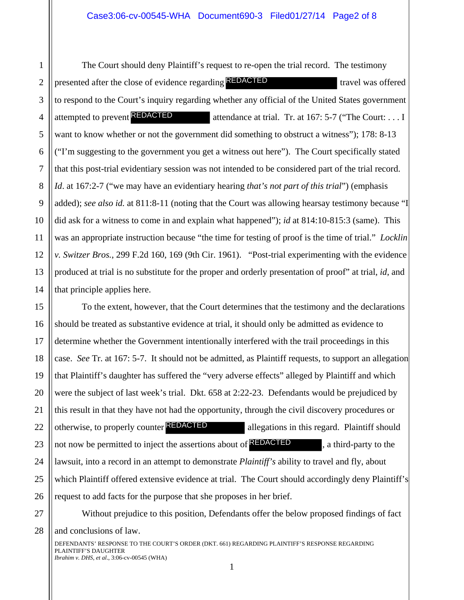6 8 9 10 12 13 14 The Court should deny Plaintiff's request to re-open the trial record. The testimony presented after the close of evidence regarding **REDACTED** travel was offered to respond to the Court's inquiry regarding whether any official of the United States government attempted to prevent **REDACTED** attendance at trial. Tr. at 167: 5-7 ("The Court: . . . I want to know whether or not the government did something to obstruct a witness"); 178: 8-13 ("I'm suggesting to the government you get a witness out here"). The Court specifically stated that this post-trial evidentiary session was not intended to be considered part of the trial record. *Id*. at 167:2-7 ("we may have an evidentiary hearing *that's not part of this trial*") (emphasis added); *see also id.* at 811:8-11 (noting that the Court was allowing hearsay testimony because "I did ask for a witness to come in and explain what happened"); *id* at 814:10-815:3 (same). This was an appropriate instruction because "the time for testing of proof is the time of trial." *Locklin v. Switzer Bros.*, 299 F.2d 160, 169 (9th Cir. 1961). "Post-trial experimenting with the evidence produced at trial is no substitute for the proper and orderly presentation of proof" at trial, *id*, and that principle applies here. **REDACTED**<br>er or not the government you g<br>identiary session was<br>hay have an evidentia<br>t 811:8-11 (noting th<br>to come in and expla<br>astruction because "the F.2d 160, 169 (9th C<br>o substitute for the pr<br>here.<br>however, that the

19 26 To the extent, however, that the Court determines that the testimony and the declarations should be treated as substantive evidence at trial, it should only be admitted as evidence to determine whether the Government intentionally interfered with the trail proceedings in this case. *See* Tr. at 167: 5-7. It should not be admitted, as Plaintiff requests, to support an allegation that Plaintiff's daughter has suffered the "very adverse effects" alleged by Plaintiff and which were the subject of last week's trial. Dkt. 658 at 2:22-23. Defendants would be prejudiced by this result in that they have not had the opportunity, through the civil discovery procedures or otherwise, to properly counter **REDACTED** allegations in this regard. Plaintiff should not now be permitted to inject the assertions about of **REDACTED**, a third-party to the lawsuit, into a record in an attempt to demonstrate *Plaintiff's* ability to travel and fly, about which Plaintiff offered extensive evidence at trial. The Court should accordingly deny Plaintiff's request to add facts for the purpose that she proposes in her brief.

27 28

1

2

3

4

5

7

11

15

16

17

18

20

21

22

23

24

25

Without prejudice to this position, Defendants offer the below proposed findings of fact and conclusions of law.

DEFENDANTS' RESPONSE TO THE COURT'S ORDER (DKT. 661) REGARDING PLAINTIFF'S RESPONSE REGARDING PLAINTIFF'S DAUGHTER *Ibrahim v. DHS*, *et al*., 3:06-cv-00545 (WHA)

1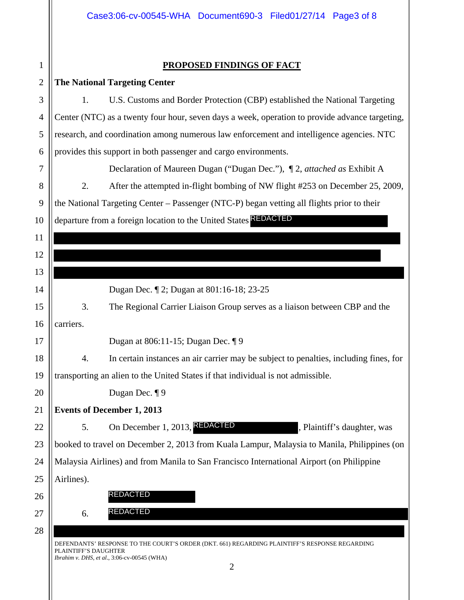## **PROPOSED FINDINGS OF FACT**

1

| $\overline{2}$ | <b>The National Targeting Center</b>                                                                                                                                                          |
|----------------|-----------------------------------------------------------------------------------------------------------------------------------------------------------------------------------------------|
| 3              | U.S. Customs and Border Protection (CBP) established the National Targeting<br>1.                                                                                                             |
| $\overline{4}$ | Center (NTC) as a twenty four hour, seven days a week, operation to provide advance targeting,                                                                                                |
| 5              | research, and coordination among numerous law enforcement and intelligence agencies. NTC                                                                                                      |
| 6              | provides this support in both passenger and cargo environments.                                                                                                                               |
| 7              | Declaration of Maureen Dugan ("Dugan Dec."), ¶ 2, attached as Exhibit A                                                                                                                       |
| 8              | After the attempted in-flight bombing of NW flight #253 on December 25, 2009,<br>2.                                                                                                           |
| 9              | the National Targeting Center - Passenger (NTC-P) began vetting all flights prior to their                                                                                                    |
| 10             | departure from a foreign location to the United States <b>REDACTED</b>                                                                                                                        |
| 11             |                                                                                                                                                                                               |
| 12             |                                                                                                                                                                                               |
| 13             |                                                                                                                                                                                               |
| 14             | Dugan Dec. 12; Dugan at 801:16-18; 23-25                                                                                                                                                      |
| 15             | 3.<br>The Regional Carrier Liaison Group serves as a liaison between CBP and the                                                                                                              |
| 16             | carriers.                                                                                                                                                                                     |
| 17             | Dugan at 806:11-15; Dugan Dec. 19                                                                                                                                                             |
| 18             | In certain instances an air carrier may be subject to penalties, including fines, for<br>4.                                                                                                   |
| 19             | transporting an alien to the United States if that individual is not admissible.                                                                                                              |
| 20             | Dugan Dec. 19                                                                                                                                                                                 |
| 21             | <b>Events of December 1, 2013</b>                                                                                                                                                             |
| 22             | On December 1, 2013, <b>REDACTED</b><br>5.<br>, Plaintiff's daughter, was                                                                                                                     |
| 23             | booked to travel on December 2, 2013 from Kuala Lampur, Malaysia to Manila, Philippines (on                                                                                                   |
| 24             | Malaysia Airlines) and from Manila to San Francisco International Airport (on Philippine                                                                                                      |
| 25             | Airlines).                                                                                                                                                                                    |
| 26             | <b>REDACTED</b>                                                                                                                                                                               |
| 27             | <b>REDACTED</b><br>6.                                                                                                                                                                         |
| 28             |                                                                                                                                                                                               |
|                | DEFENDANTS' RESPONSE TO THE COURT'S ORDER (DKT. 661) REGARDING PLAINTIFF'S RESPONSE REGARDING<br>PLAINTIFF'S DAUGHTER<br><i>Ibrahim v. DHS, et al., 3:06-cv-00545 (WHA)</i><br>$\overline{2}$ |
|                |                                                                                                                                                                                               |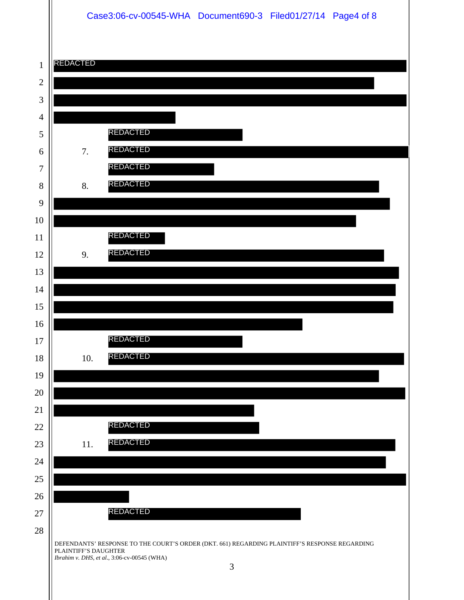## Case3:06-cv-00545-WHA Document690-3 Filed01/27/14 Page4 of 8

| $\mathbf{1}$     | REDACTED                                                                                                                                                                               |
|------------------|----------------------------------------------------------------------------------------------------------------------------------------------------------------------------------------|
| $\overline{2}$   |                                                                                                                                                                                        |
| 3                |                                                                                                                                                                                        |
| $\overline{4}$   |                                                                                                                                                                                        |
| 5                | <b>REDACTED</b>                                                                                                                                                                        |
| 6                | <b>REDACTED</b><br>7.                                                                                                                                                                  |
| $\overline{7}$   | <b>REDACTED</b>                                                                                                                                                                        |
| 8                | <b>REDACTED</b><br>8.                                                                                                                                                                  |
| 9                |                                                                                                                                                                                        |
| 10               |                                                                                                                                                                                        |
| 11               | <b>REDACTED</b>                                                                                                                                                                        |
| 12               | <b>REDACTED</b><br>9.                                                                                                                                                                  |
| 13               |                                                                                                                                                                                        |
| 14               |                                                                                                                                                                                        |
| 15               |                                                                                                                                                                                        |
| 16               |                                                                                                                                                                                        |
| 17               | <b>REDACTED</b>                                                                                                                                                                        |
| 18               | <b>REDACTED</b><br>10.                                                                                                                                                                 |
| 19               |                                                                                                                                                                                        |
| 20               |                                                                                                                                                                                        |
| 21               | <b>REDACTED</b>                                                                                                                                                                        |
| 22               | <b>REDACTED</b>                                                                                                                                                                        |
| 23               | 11.                                                                                                                                                                                    |
| 24               |                                                                                                                                                                                        |
| $25\,$           |                                                                                                                                                                                        |
| 26               | <b>REDACTED</b>                                                                                                                                                                        |
| $27\,$<br>$28\,$ |                                                                                                                                                                                        |
|                  | DEFENDANTS' RESPONSE TO THE COURT'S ORDER (DKT. 661) REGARDING PLAINTIFF'S RESPONSE REGARDING<br>PLAINTIFF'S DAUGHTER<br>Ibrahim v. DHS, et al., 3:06-cv-00545 (WHA)<br>$\mathfrak{Z}$ |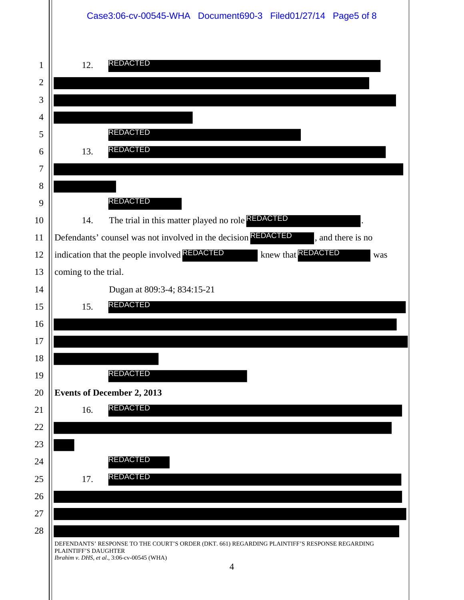|              | Case3:06-cv-00545-WHA Document690-3 Filed01/27/14 Page5 of 8                                                                                                                           |
|--------------|----------------------------------------------------------------------------------------------------------------------------------------------------------------------------------------|
| $\mathbf{1}$ | <b>REDACTED</b><br>12.                                                                                                                                                                 |
| $\mathbf{2}$ |                                                                                                                                                                                        |
| 3            |                                                                                                                                                                                        |
| 4            | REDACTED                                                                                                                                                                               |
| 5<br>6       | <b>REDACTED</b><br>13.                                                                                                                                                                 |
| 7            |                                                                                                                                                                                        |
| 8            |                                                                                                                                                                                        |
| 9            | <b>REDACTED</b>                                                                                                                                                                        |
| 10           | The trial in this matter played no role REDACTED<br>14.                                                                                                                                |
| 11           | Defendants' counsel was not involved in the decision REDACTED<br>, and there is no                                                                                                     |
| 12           | indication that the people involved <b>REDACTED</b><br>knew that <b>REDACTED</b><br>was                                                                                                |
| 13           | coming to the trial.                                                                                                                                                                   |
| 14           | Dugan at 809:3-4; 834:15-21                                                                                                                                                            |
| 15           | <b>REDACTED</b><br>15.                                                                                                                                                                 |
| 16           |                                                                                                                                                                                        |
| $17\,$       |                                                                                                                                                                                        |
| 18           |                                                                                                                                                                                        |
| 19           | REDACTED                                                                                                                                                                               |
| 20           | <b>Events of December 2, 2013</b>                                                                                                                                                      |
| 21           | <b>REDACTED</b><br>16.                                                                                                                                                                 |
| 22           |                                                                                                                                                                                        |
| 23           |                                                                                                                                                                                        |
| 24           | REDACTED<br>REDACTED                                                                                                                                                                   |
| 25           | 17.                                                                                                                                                                                    |
| 26<br>27     |                                                                                                                                                                                        |
| 28           |                                                                                                                                                                                        |
|              | DEFENDANTS' RESPONSE TO THE COURT'S ORDER (DKT. 661) REGARDING PLAINTIFF'S RESPONSE REGARDING<br>PLAINTIFF'S DAUGHTER<br>Ibrahim v. DHS, et al., 3:06-cv-00545 (WHA)<br>$\overline{4}$ |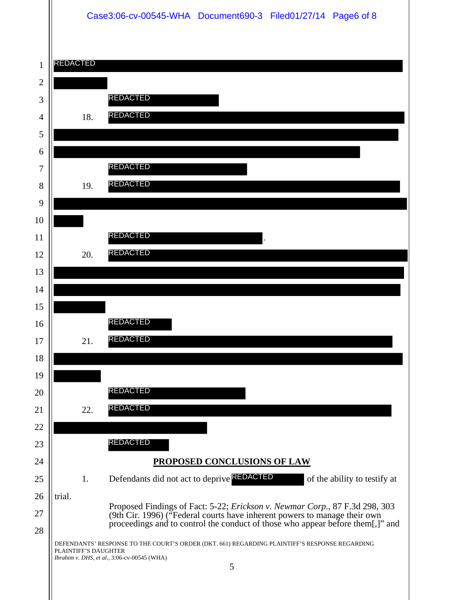## Case3:06-cv-00545-WHA Document690-3 Filed01/27/14 Page6 of 8

| $\mathbf{1}$   | <b>REDACTED</b> |                                                                                                                                                                      |
|----------------|-----------------|----------------------------------------------------------------------------------------------------------------------------------------------------------------------|
| $\overline{2}$ |                 |                                                                                                                                                                      |
| 3              |                 | <b>REDACTED</b>                                                                                                                                                      |
| $\overline{4}$ |                 | <b>REDACTED</b><br>18.                                                                                                                                               |
| 5              |                 |                                                                                                                                                                      |
| 6              |                 |                                                                                                                                                                      |
| 7              |                 | REDACTED                                                                                                                                                             |
| 8              |                 | <b>REDACTED</b><br>19.                                                                                                                                               |
| 9              |                 |                                                                                                                                                                      |
| 10             |                 |                                                                                                                                                                      |
| 11             |                 | <b>REDACTED</b>                                                                                                                                                      |
| 12             |                 | <b>REDACTED</b><br>20.                                                                                                                                               |
| 13             |                 |                                                                                                                                                                      |
| 14             |                 |                                                                                                                                                                      |
| 15             |                 |                                                                                                                                                                      |
| 16             |                 | REDACTED                                                                                                                                                             |
| 17             |                 | <b>REDACTED</b><br>21.                                                                                                                                               |
| 18             |                 |                                                                                                                                                                      |
| 19             |                 |                                                                                                                                                                      |
| 20             |                 | REDACTED                                                                                                                                                             |
| 21             |                 | REDACTED<br>22.                                                                                                                                                      |
| 22             |                 |                                                                                                                                                                      |
| 23             |                 | REDACTED                                                                                                                                                             |
| 24             |                 | PROPOSED CONCLUSIONS OF LAW                                                                                                                                          |
| 25             |                 | Defendants did not act to deprive REDACTED<br>1.<br>of the ability to testify at                                                                                     |
| 26             | trial.          | Proposed Findings of Fact: 5-22; Erickson v. Newmar Corp., 87 F.3d 298, 303                                                                                          |
| 27<br>28       |                 | (9th Cir. 1996) ("Federal courts have inherent powers to manage their own<br>proceedings and to control the conduct of those who appear before them[,]" and          |
|                |                 | DEFENDANTS' RESPONSE TO THE COURT'S ORDER (DKT. 661) REGARDING PLAINTIFF'S RESPONSE REGARDING<br>PLAINTIFF'S DAUGHTER<br>Ibrahim v. DHS, et al., 3:06-cv-00545 (WHA) |
|                |                 | 5                                                                                                                                                                    |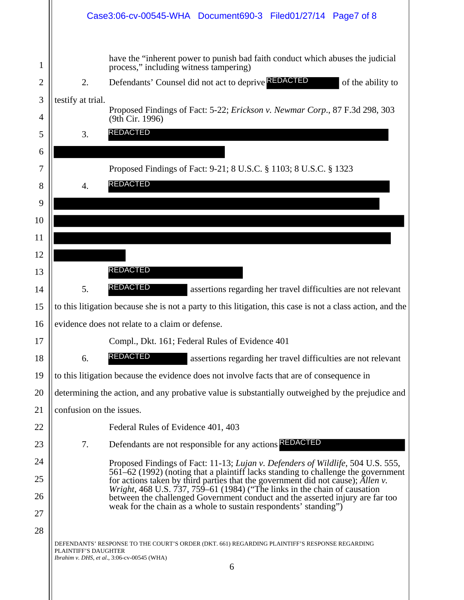|              |                          | Case3:06-cv-00545-WHA Document690-3 Filed01/27/14 Page7 of 8                                                                                                                     |
|--------------|--------------------------|----------------------------------------------------------------------------------------------------------------------------------------------------------------------------------|
| 1            |                          | have the "inherent power to punish bad faith conduct which abuses the judicial<br>process," including witness tampering)                                                         |
| $\mathbf{2}$ | 2.                       | Defendants' Counsel did not act to deprive <b>REDACTED</b><br>of the ability to                                                                                                  |
| 3            | testify at trial.        |                                                                                                                                                                                  |
| 4            |                          | Proposed Findings of Fact: 5-22; <i>Erickson v. Newmar Corp.</i> , 87 F.3d 298, 303<br>(9th Cir. 1996)                                                                           |
| 5            | 3.                       | <b>REDACTED</b>                                                                                                                                                                  |
| 6            |                          |                                                                                                                                                                                  |
| 7            |                          | Proposed Findings of Fact: 9-21; 8 U.S.C. § 1103; 8 U.S.C. § 1323                                                                                                                |
| 8            | 4.                       | <b>REDACTED</b>                                                                                                                                                                  |
| 9            |                          |                                                                                                                                                                                  |
| 10           |                          |                                                                                                                                                                                  |
| 11           |                          |                                                                                                                                                                                  |
| 12           |                          |                                                                                                                                                                                  |
| 13           |                          | REDACTED                                                                                                                                                                         |
| 14           | 5.                       | <b>REDACTED</b><br>assertions regarding her travel difficulties are not relevant                                                                                                 |
| 15           |                          | to this litigation because she is not a party to this litigation, this case is not a class action, and the                                                                       |
| 16           |                          | evidence does not relate to a claim or defense.                                                                                                                                  |
| 17           |                          | Compl., Dkt. 161; Federal Rules of Evidence 401                                                                                                                                  |
| 18           | 6.                       | REDACTED<br>assertions regarding her travel difficulties are not relevant                                                                                                        |
| 19           |                          | to this litigation because the evidence does not involve facts that are of consequence in                                                                                        |
| 20           |                          | determining the action, and any probative value is substantially outweighed by the prejudice and                                                                                 |
| 21           | confusion on the issues. |                                                                                                                                                                                  |
| 22           |                          | Federal Rules of Evidence 401, 403                                                                                                                                               |
| 23           | 7.                       | Defendants are not responsible for any actions REDACTED                                                                                                                          |
| 24           |                          | Proposed Findings of Fact: 11-13; Lujan v. Defenders of Wildlife, 504 U.S. 555,                                                                                                  |
| 25           |                          | 561–62 (1992) (noting that a plaintiff lacks standing to challenge the government<br>for actions taken by third parties that the government did not cause); Allen v.             |
| 26           |                          | <i>Wright</i> , 468 U.S. $\overline{7}37$ , 759–61 (1984) ("The links in the chain of causation<br>between the challenged Government conduct and the asserted injury are far too |
| 27           |                          | weak for the chain as a whole to sustain respondents' standing")                                                                                                                 |
| 28           |                          |                                                                                                                                                                                  |
|              | PLAINTIFF'S DAUGHTER     | DEFENDANTS' RESPONSE TO THE COURT'S ORDER (DKT. 661) REGARDING PLAINTIFF'S RESPONSE REGARDING<br>Ibrahim v. DHS, et al., 3:06-cv-00545 (WHA)                                     |
|              |                          | 6                                                                                                                                                                                |